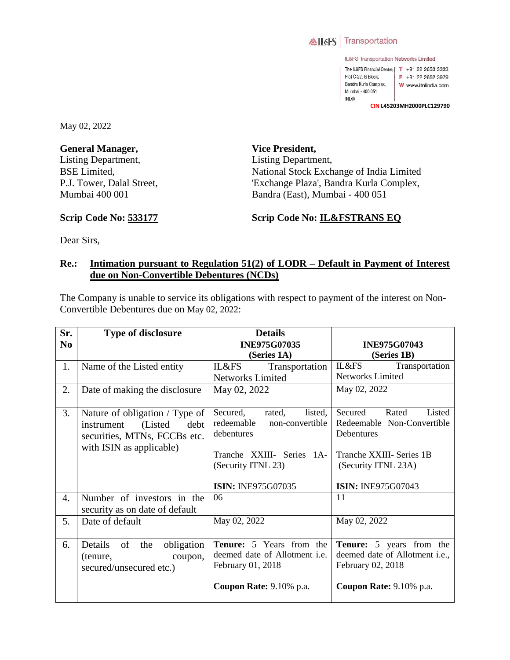

IL&FS Transportation Networks Limited

The IL&FS Financial Centre,  $\begin{bmatrix} 1 \\ 1 \end{bmatrix}$  +91 22 2653 3333 Plot C-22, G Block,  $F + 912226523979$ Bandra Kurla Complex, W www.itnlindia.com Mumbai - 400 051 **INDIA** 

**CIN L45203MH2000PLC129790**

May 02, 2022

**General Manager,**  Listing Department, BSE Limited, P.J. Tower, Dalal Street, Mumbai 400 001

**Vice President,**  Listing Department, National Stock Exchange of India Limited 'Exchange Plaza', Bandra Kurla Complex, Bandra (East), Mumbai - 400 051

## **Scrip Code No: 533177**

## **Scrip Code No: IL&FSTRANS EQ**

Dear Sirs,

## **Re.: Intimation pursuant to Regulation 51(2) of LODR – Default in Payment of Interest due on Non-Convertible Debentures (NCDs)**

The Company is unable to service its obligations with respect to payment of the interest on Non-Convertible Debentures due on May 02, 2022:

| Sr.            | <b>Type of disclosure</b>                                                                                                    | <b>Details</b>                                                                                                                  |                                                                                                                           |
|----------------|------------------------------------------------------------------------------------------------------------------------------|---------------------------------------------------------------------------------------------------------------------------------|---------------------------------------------------------------------------------------------------------------------------|
| N <sub>0</sub> |                                                                                                                              | <b>INE975G07035</b>                                                                                                             | <b>INE975G07043</b>                                                                                                       |
|                |                                                                                                                              | (Series 1A)                                                                                                                     | (Series 1B)                                                                                                               |
| 1.             | Name of the Listed entity                                                                                                    | IL&FS<br>Transportation                                                                                                         | IL&FS<br>Transportation                                                                                                   |
|                |                                                                                                                              | <b>Networks Limited</b>                                                                                                         | Networks Limited                                                                                                          |
| 2.             | Date of making the disclosure                                                                                                | May 02, 2022                                                                                                                    | May 02, 2022                                                                                                              |
| 3.             | Nature of obligation / Type of<br>(Listed)<br>debt<br>instrument<br>securities, MTNs, FCCBs etc.<br>with ISIN as applicable) | Secured,<br>rated,<br>listed,<br>redeemable<br>non-convertible<br>debentures<br>Tranche XXIII- Series 1A-<br>(Security ITNL 23) | Listed<br>Rated<br>Secured<br>Redeemable Non-Convertible<br>Debentures<br>Tranche XXIII- Series 1B<br>(Security ITNL 23A) |
|                |                                                                                                                              | <b>ISIN: INE975G07035</b>                                                                                                       | <b>ISIN: INE975G07043</b>                                                                                                 |
| 4.             | Number of investors in the<br>security as on date of default                                                                 | 06                                                                                                                              | 11                                                                                                                        |
| 5.             | Date of default                                                                                                              | May 02, 2022                                                                                                                    | May 02, 2022                                                                                                              |
| 6.             | Details<br>of<br>obligation<br>the<br>coupon,<br>(tenure,<br>secured/unsecured etc.)                                         | Tenure: 5 Years from the<br>deemed date of Allotment <i>i.e.</i><br>February 01, 2018<br>Coupon Rate: 9.10% p.a.                | <b>Tenure:</b> 5 years from the<br>deemed date of Allotment i.e.,<br>February 02, 2018<br>Coupon Rate: 9.10% p.a.         |
|                |                                                                                                                              |                                                                                                                                 |                                                                                                                           |